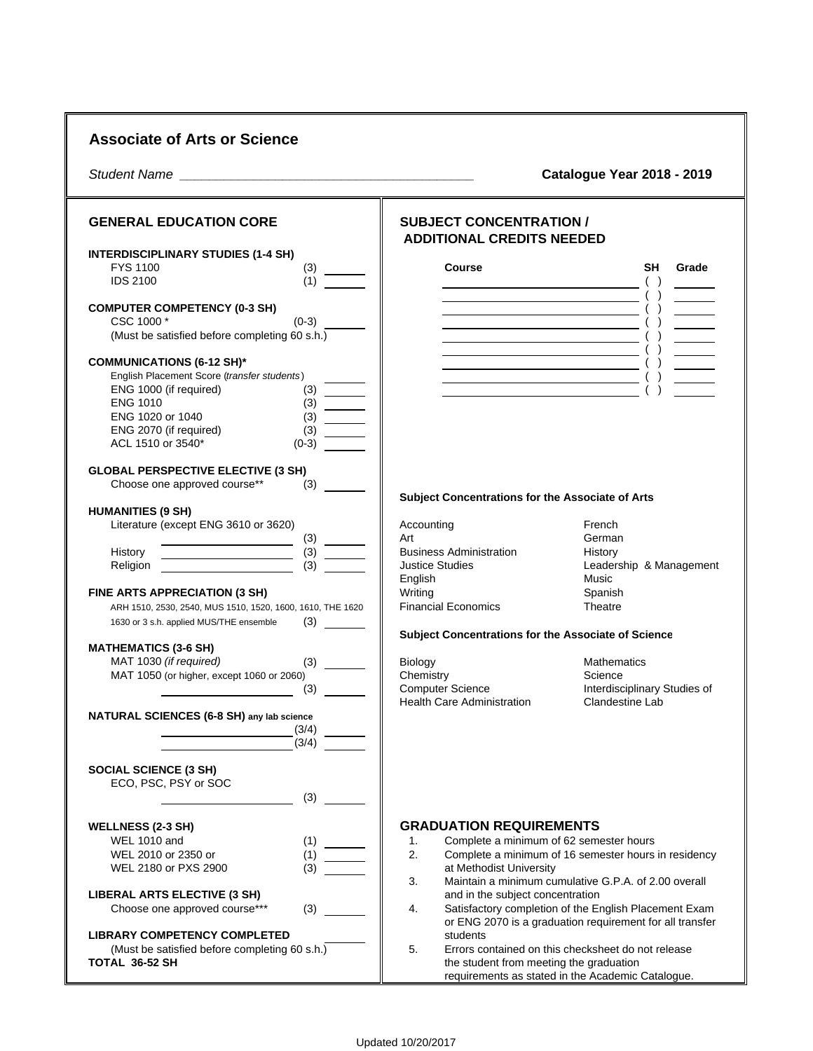|                                                                                                                                                                                                                                                                                                                                                                                                                                                                         |                                                                                                                                                                                     | <b>Catalogue Year 2018 - 2019</b>                                                                                                                                                                                                                                                                                                                                                                                                                                                                                   |
|-------------------------------------------------------------------------------------------------------------------------------------------------------------------------------------------------------------------------------------------------------------------------------------------------------------------------------------------------------------------------------------------------------------------------------------------------------------------------|-------------------------------------------------------------------------------------------------------------------------------------------------------------------------------------|---------------------------------------------------------------------------------------------------------------------------------------------------------------------------------------------------------------------------------------------------------------------------------------------------------------------------------------------------------------------------------------------------------------------------------------------------------------------------------------------------------------------|
| <b>GENERAL EDUCATION CORE</b>                                                                                                                                                                                                                                                                                                                                                                                                                                           | <b>SUBJECT CONCENTRATION /</b>                                                                                                                                                      |                                                                                                                                                                                                                                                                                                                                                                                                                                                                                                                     |
| <b>INTERDISCIPLINARY STUDIES (1-4 SH)</b>                                                                                                                                                                                                                                                                                                                                                                                                                               | <b>ADDITIONAL CREDITS NEEDED</b>                                                                                                                                                    |                                                                                                                                                                                                                                                                                                                                                                                                                                                                                                                     |
| <b>FYS 1100</b><br>$(3)$ —                                                                                                                                                                                                                                                                                                                                                                                                                                              | <b>Course</b>                                                                                                                                                                       | <b>SH</b><br>Grade                                                                                                                                                                                                                                                                                                                                                                                                                                                                                                  |
| (1)<br><b>IDS 2100</b>                                                                                                                                                                                                                                                                                                                                                                                                                                                  | <u> Alexandria de la contrada de la contrada de la con</u>                                                                                                                          |                                                                                                                                                                                                                                                                                                                                                                                                                                                                                                                     |
| <b>COMPUTER COMPETENCY (0-3 SH)</b><br>CSC 1000 *<br>$(0-3)$<br>(Must be satisfied before completing 60 s.h.)                                                                                                                                                                                                                                                                                                                                                           | <u> 1980 - Johann Barn, mars ann an t-Amhain Aonaich an t-Aonaich an t-Aonaich ann an t-Aonaich ann an t-Aonaich</u><br><u> 1989 - Johann Barn, mars eta biztanleria (h. 1989).</u> |                                                                                                                                                                                                                                                                                                                                                                                                                                                                                                                     |
| <b>COMMUNICATIONS (6-12 SH)*</b>                                                                                                                                                                                                                                                                                                                                                                                                                                        |                                                                                                                                                                                     | $\begin{array}{ c c c c c c c c c }\hline \rule{0pt}{1ex}& & & & \hline \rule{0pt}{2ex} & & & \hline \rule{0pt}{2ex} & & & \hline \rule{0pt}{2ex} & & & \hline \rule{0pt}{2ex} & & & \hline \rule{0pt}{2ex} & & & \hline \rule{0pt}{2ex} & & & \hline \rule{0pt}{2ex} & & & \hline \rule{0pt}{2ex} & & & \hline \rule{0pt}{2ex} & & & \hline \rule{0pt}{2ex} & & & \hline \rule{0pt}{2ex} & & & \hline \rule{0pt}{2ex} & & & \$<br>$\begin{array}{ c c c c c c }\hline \rule{0mm}{12mm} & & & & \hline \end{array}$ |
| English Placement Score (transfer students)<br>ENG 1000 (if required)<br><b>ENG 1010</b><br>$\frac{1}{3}$<br>$\frac{1}{3}$<br>$\frac{1}{3}$<br>$\frac{1}{3}$<br>$\frac{1}{3}$<br>$\frac{1}{3}$<br>$\frac{1}{3}$<br>$\frac{1}{3}$<br>$\frac{1}{3}$<br>$\frac{1}{3}$<br>$\frac{1}{3}$<br>$\frac{1}{3}$<br>$\frac{1}{3}$<br>$\frac{1}{3}$<br>$\frac{1}{3}$<br>$\frac{1}{3}$<br>$\frac{1}{3}$<br>ENG 1020 or 1040<br>ENG 2070 (if required)<br>ACL 1510 or 3540*<br>$(0-3)$ | <u> 1989 - Johann Stein, fransk politiker (d. 1989)</u>                                                                                                                             | $\overline{a}$ ( ) and $\overline{a}$ ( ) and $\overline{a}$                                                                                                                                                                                                                                                                                                                                                                                                                                                        |
| <b>GLOBAL PERSPECTIVE ELECTIVE (3 SH)</b><br>Choose one approved course**                                                                                                                                                                                                                                                                                                                                                                                               |                                                                                                                                                                                     |                                                                                                                                                                                                                                                                                                                                                                                                                                                                                                                     |
|                                                                                                                                                                                                                                                                                                                                                                                                                                                                         | Subject Concentrations for the Associate of Arts                                                                                                                                    |                                                                                                                                                                                                                                                                                                                                                                                                                                                                                                                     |
| <b>HUMANITIES (9 SH)</b><br>Literature (except ENG 3610 or 3620)                                                                                                                                                                                                                                                                                                                                                                                                        | Accounting<br>Art                                                                                                                                                                   | French<br>German                                                                                                                                                                                                                                                                                                                                                                                                                                                                                                    |
| $\begin{tabular}{ c c c c } \hline \quad \quad & (3) & \quad \quad \\ \hline \quad \quad & (3) & \quad \quad \\ \hline \quad \quad & (3) & \quad \quad \\ \hline \quad \quad & (3) & \quad \quad \\ \hline \end{tabular}$<br>History                                                                                                                                                                                                                                    | <b>Business Administration</b>                                                                                                                                                      | History                                                                                                                                                                                                                                                                                                                                                                                                                                                                                                             |
| Religion                                                                                                                                                                                                                                                                                                                                                                                                                                                                | <b>Justice Studies</b><br>English                                                                                                                                                   | Leadership & Management<br>Music                                                                                                                                                                                                                                                                                                                                                                                                                                                                                    |
| FINE ARTS APPRECIATION (3 SH)                                                                                                                                                                                                                                                                                                                                                                                                                                           | Writing                                                                                                                                                                             | Spanish                                                                                                                                                                                                                                                                                                                                                                                                                                                                                                             |
| ARH 1510, 2530, 2540, MUS 1510, 1520, 1600, 1610, THE 1620                                                                                                                                                                                                                                                                                                                                                                                                              | <b>Financial Economics</b>                                                                                                                                                          | Theatre                                                                                                                                                                                                                                                                                                                                                                                                                                                                                                             |
| 1630 or 3 s.h. applied MUS/THE ensemble                                                                                                                                                                                                                                                                                                                                                                                                                                 |                                                                                                                                                                                     |                                                                                                                                                                                                                                                                                                                                                                                                                                                                                                                     |
| <b>MATHEMATICS (3-6 SH)</b>                                                                                                                                                                                                                                                                                                                                                                                                                                             | Subject Concentrations for the Associate of Science                                                                                                                                 |                                                                                                                                                                                                                                                                                                                                                                                                                                                                                                                     |
| MAT 1030 (if required)                                                                                                                                                                                                                                                                                                                                                                                                                                                  | Biology                                                                                                                                                                             | Mathematics                                                                                                                                                                                                                                                                                                                                                                                                                                                                                                         |
| MAT 1050 (or higher, except 1060 or 2060)                                                                                                                                                                                                                                                                                                                                                                                                                               | Chemistry                                                                                                                                                                           | Science                                                                                                                                                                                                                                                                                                                                                                                                                                                                                                             |
|                                                                                                                                                                                                                                                                                                                                                                                                                                                                         | <b>Computer Science</b><br><b>Health Care Administration</b>                                                                                                                        | Interdisciplinary Studies of<br>Clandestine Lab                                                                                                                                                                                                                                                                                                                                                                                                                                                                     |
| NATURAL SCIENCES (6-8 SH) any lab science                                                                                                                                                                                                                                                                                                                                                                                                                               |                                                                                                                                                                                     |                                                                                                                                                                                                                                                                                                                                                                                                                                                                                                                     |
| (3/4)                                                                                                                                                                                                                                                                                                                                                                                                                                                                   |                                                                                                                                                                                     |                                                                                                                                                                                                                                                                                                                                                                                                                                                                                                                     |
| (3/4)                                                                                                                                                                                                                                                                                                                                                                                                                                                                   |                                                                                                                                                                                     |                                                                                                                                                                                                                                                                                                                                                                                                                                                                                                                     |
| <b>SOCIAL SCIENCE (3 SH)</b><br>ECO, PSC, PSY or SOC                                                                                                                                                                                                                                                                                                                                                                                                                    |                                                                                                                                                                                     |                                                                                                                                                                                                                                                                                                                                                                                                                                                                                                                     |
| (3)                                                                                                                                                                                                                                                                                                                                                                                                                                                                     |                                                                                                                                                                                     |                                                                                                                                                                                                                                                                                                                                                                                                                                                                                                                     |
|                                                                                                                                                                                                                                                                                                                                                                                                                                                                         | <b>GRADUATION REQUIREMENTS</b>                                                                                                                                                      |                                                                                                                                                                                                                                                                                                                                                                                                                                                                                                                     |
| <b>WELLNESS (2-3 SH)</b><br><b>WEL 1010 and</b><br>(1)                                                                                                                                                                                                                                                                                                                                                                                                                  | Complete a minimum of 62 semester hours<br>1.                                                                                                                                       |                                                                                                                                                                                                                                                                                                                                                                                                                                                                                                                     |
| WEL 2010 or 2350 or<br>(1)                                                                                                                                                                                                                                                                                                                                                                                                                                              | 2.                                                                                                                                                                                  | Complete a minimum of 16 semester hours in residency                                                                                                                                                                                                                                                                                                                                                                                                                                                                |
| WEL 2180 or PXS 2900<br>(3)                                                                                                                                                                                                                                                                                                                                                                                                                                             | at Methodist University                                                                                                                                                             |                                                                                                                                                                                                                                                                                                                                                                                                                                                                                                                     |
|                                                                                                                                                                                                                                                                                                                                                                                                                                                                         | 3.<br>Maintain a minimum cumulative G.P.A. of 2.00 overall                                                                                                                          |                                                                                                                                                                                                                                                                                                                                                                                                                                                                                                                     |
| <b>LIBERAL ARTS ELECTIVE (3 SH)</b><br>Choose one approved course***<br>(3)                                                                                                                                                                                                                                                                                                                                                                                             | and in the subject concentration<br>Satisfactory completion of the English Placement Exam<br>4.                                                                                     |                                                                                                                                                                                                                                                                                                                                                                                                                                                                                                                     |
|                                                                                                                                                                                                                                                                                                                                                                                                                                                                         |                                                                                                                                                                                     | or ENG 2070 is a graduation requirement for all transfer                                                                                                                                                                                                                                                                                                                                                                                                                                                            |
| <b>LIBRARY COMPETENCY COMPLETED</b>                                                                                                                                                                                                                                                                                                                                                                                                                                     | students                                                                                                                                                                            |                                                                                                                                                                                                                                                                                                                                                                                                                                                                                                                     |
| (Must be satisfied before completing 60 s.h.)<br>TOTAL 36-52 SH                                                                                                                                                                                                                                                                                                                                                                                                         | 5.<br>the student from meeting the graduation                                                                                                                                       | Errors contained on this checksheet do not release                                                                                                                                                                                                                                                                                                                                                                                                                                                                  |
|                                                                                                                                                                                                                                                                                                                                                                                                                                                                         |                                                                                                                                                                                     | requirements as stated in the Academic Catalogue.                                                                                                                                                                                                                                                                                                                                                                                                                                                                   |